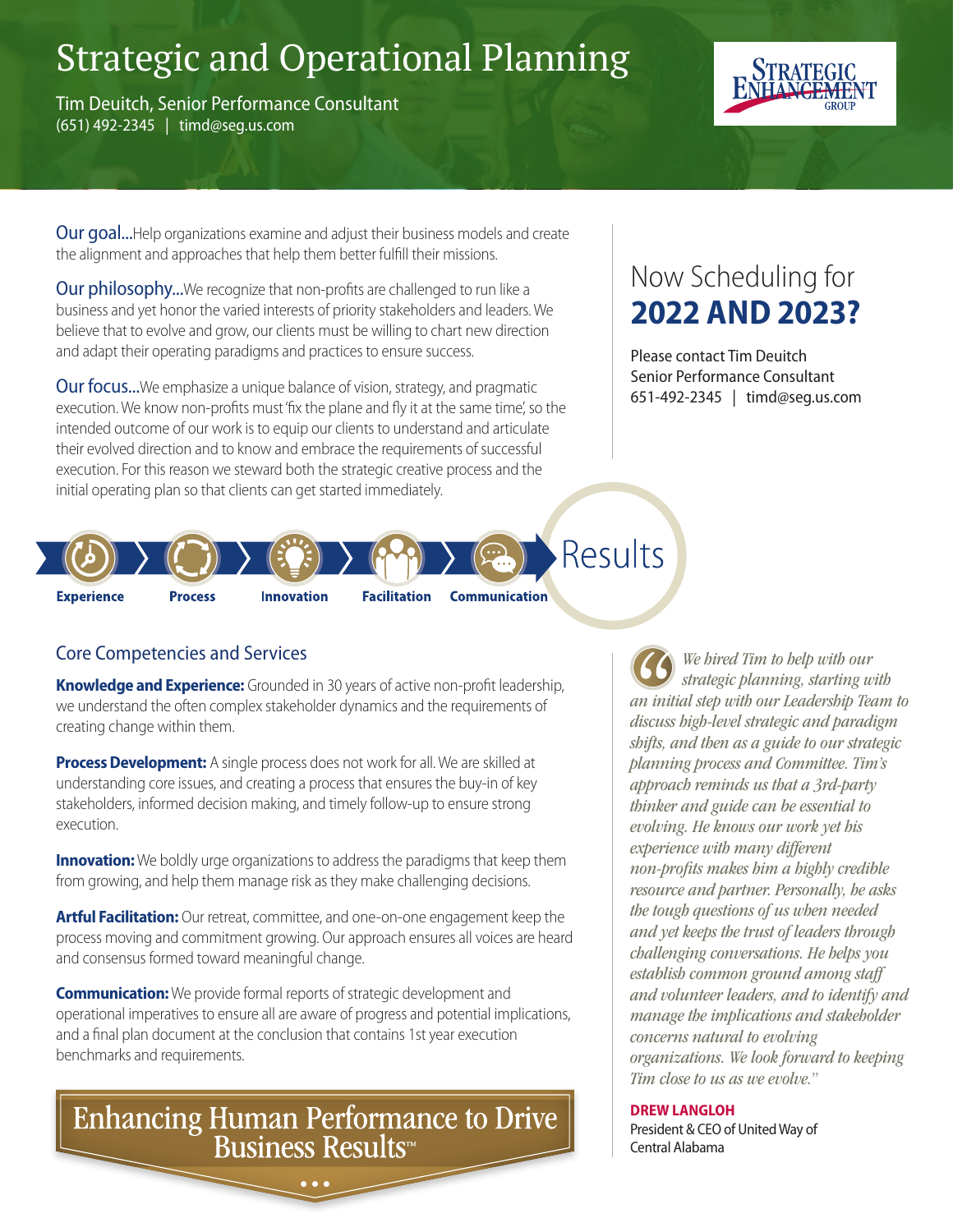# Strategic and Operational Planning

Tim Deuitch, Senior Performance Consultant (651) 492-2345 | timd@seg.us.com



**Our goal...**Help organizations examine and adjust their business models and create the alignment and approaches that help them better fulfill their missions.

Our philosophy...We recognize that non-profits are challenged to run like a business and yet honor the varied interests of priority stakeholders and leaders. We believe that to evolve and grow, our clients must be willing to chart new direction and adapt their operating paradigms and practices to ensure success.

**Our focus...**We emphasize a unique balance of vision, strategy, and pragmatic execution. We know non-profits must 'fix the plane and fly it at the same time', so the intended outcome of our work is to equip our clients to understand and articulate their evolved direction and to know and embrace the requirements of successful execution. For this reason we steward both the strategic creative process and the initial operating plan so that clients can get started immediately.

#### Results **Experience Process Innovation Facilitation Communication**

### Core Competencies and Services

**Knowledge and Experience:** Grounded in 30 years of active non-profit leadership, we understand the often complex stakeholder dynamics and the requirements of creating change within them.

**Process Development:** A single process does not work for all. We are skilled at understanding core issues, and creating a process that ensures the buy-in of key stakeholders, informed decision making, and timely follow-up to ensure strong execution.

**Innovation:** We boldly urge organizations to address the paradigms that keep them from growing, and help them manage risk as they make challenging decisions.

**Artful Facilitation:** Our retreat, committee, and one-on-one engagement keep the process moving and commitment growing. Our approach ensures all voices are heard and consensus formed toward meaningful change.

**Communication:** We provide formal reports of strategic development and operational imperatives to ensure all are aware of progress and potential implications, and a final plan document at the conclusion that contains 1st year execution benchmarks and requirements.

Enhancing Human Performance to Drive<br>Business Results

# Now Scheduling for **2022 AND 2023?**

Please contact Tim Deuitch Senior Performance Consultant 651-492-2345 | timd@seg.us.com

*We hired Tim to help with our strategic planning, starting with an initial step with our Leadership Team to discuss high-level strategic and paradigm shifts, and then as a guide to our strategic planning process and Committee. Tim's approach reminds us that a 3rd-party thinker and guide can be essential to evolving. He knows our work yet his experience with many different non-profits makes him a highly credible resource and partner. Personally, he asks the tough questions of us when needed and yet keeps the trust of leaders through challenging conversations. He helps you establish common ground among staff and volunteer leaders, and to identify and manage the implications and stakeholder concerns natural to evolving organizations. We look forward to keeping Tim close to us as we evolve."* 

**DREW LANGLOH** President & CEO of United Way of Central Alabama